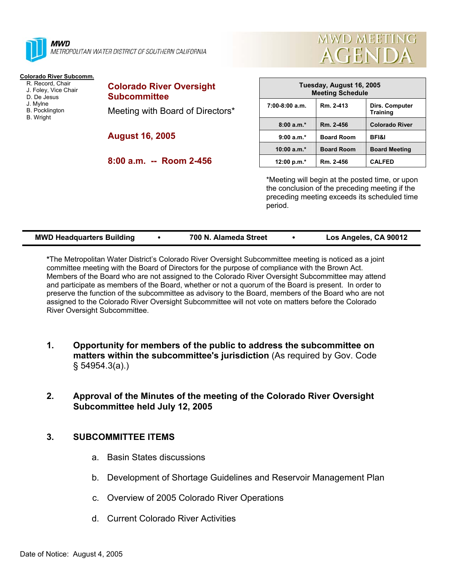

**MWD** METROPOLITAN WATER DISTRICT OF SOUTHERN CALIFORNIA

#### **Colorado River Subcomm.**

- R. Record, Chair J. Foley, Vice Chair D. De Jesus J. Mylne B. Pocklington B. Wright
- **Subcommittee**  Meeting with Board of Directors\*

**Colorado River Oversight** 

**August 16, 2005** 

**8:00 a.m. -- Room 2-456** 



**MWD MEETING** 

**AGENDA** 

\*Meeting will begin at the posted time, or upon the conclusion of the preceding meeting if the preceding meeting exceeds its scheduled time period.

| Los Angeles, CA 90012<br><b>MWD Headquarters Building</b><br>700 N. Alameda Street |
|------------------------------------------------------------------------------------|
|------------------------------------------------------------------------------------|

**\***The Metropolitan Water District's Colorado River Oversight Subcommittee meeting is noticed as a joint committee meeting with the Board of Directors for the purpose of compliance with the Brown Act. Members of the Board who are not assigned to the Colorado River Oversight Subcommittee may attend and participate as members of the Board, whether or not a quorum of the Board is present. In order to preserve the function of the subcommittee as advisory to the Board, members of the Board who are not assigned to the Colorado River Oversight Subcommittee will not vote on matters before the Colorado River Oversight Subcommittee.

**1. Opportunity for members of the public to address the subcommittee on matters within the subcommittee's jurisdiction** (As required by Gov. Code § 54954.3(a).)

# **2. Approval of the Minutes of the meeting of the Colorado River Oversight Subcommittee held July 12, 2005**

## **3. SUBCOMMITTEE ITEMS**

- a. Basin States discussions
- b. Development of Shortage Guidelines and Reservoir Management Plan
- c. Overview of 2005 Colorado River Operations
- d. Current Colorado River Activities